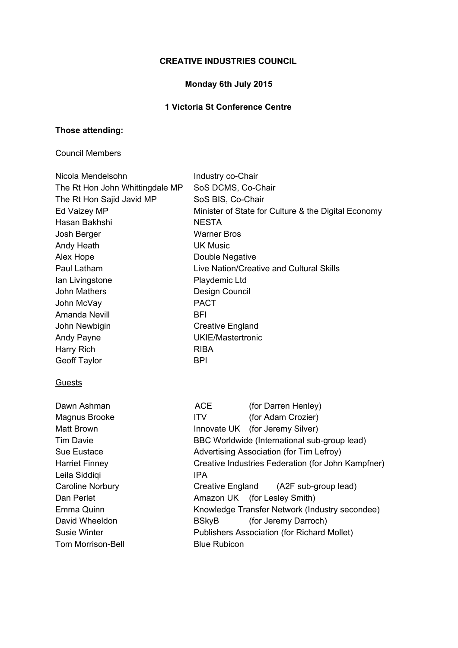## **CREATIVE INDUSTRIES COUNCIL**

# **Monday 6th July 2015**

# **1 Victoria St Conference Centre**

## **Those attending:**

### Council Members

| Industry co-Chair                                   |                                                    |
|-----------------------------------------------------|----------------------------------------------------|
| SoS DCMS, Co-Chair                                  |                                                    |
| SoS BIS, Co-Chair                                   |                                                    |
| Minister of State for Culture & the Digital Economy |                                                    |
| <b>NESTA</b>                                        |                                                    |
| <b>Warner Bros</b>                                  |                                                    |
| <b>UK Music</b>                                     |                                                    |
| Double Negative                                     |                                                    |
| Live Nation/Creative and Cultural Skills            |                                                    |
| Playdemic Ltd                                       |                                                    |
| Design Council                                      |                                                    |
| <b>PACT</b>                                         |                                                    |
| <b>BFI</b>                                          |                                                    |
| <b>Creative England</b>                             |                                                    |
| <b>UKIE/Mastertronic</b>                            |                                                    |
| <b>RIBA</b>                                         |                                                    |
| <b>BPI</b>                                          |                                                    |
|                                                     |                                                    |
| ACE                                                 | (for Darren Henley)                                |
| <b>ITV</b>                                          | (for Adam Crozier)                                 |
|                                                     | Innovate UK (for Jeremy Silver)                    |
|                                                     | BBC Worldwide (International sub-group lead)       |
|                                                     | Advertising Association (for Tim Lefroy)           |
|                                                     | Creative Industries Federation (for John Kampfner) |
| <b>IPA</b>                                          |                                                    |
| Creative England                                    | (A2F sub-group lead)                               |
| Amazon UK                                           | (for Lesley Smith)                                 |
|                                                     | Knowledge Transfer Network (Industry secondee)     |
| <b>BSkyB</b>                                        | (for Jeremy Darroch)                               |
|                                                     | <b>Publishers Association (for Richard Mollet)</b> |
| <b>Blue Rubicon</b>                                 |                                                    |
|                                                     |                                                    |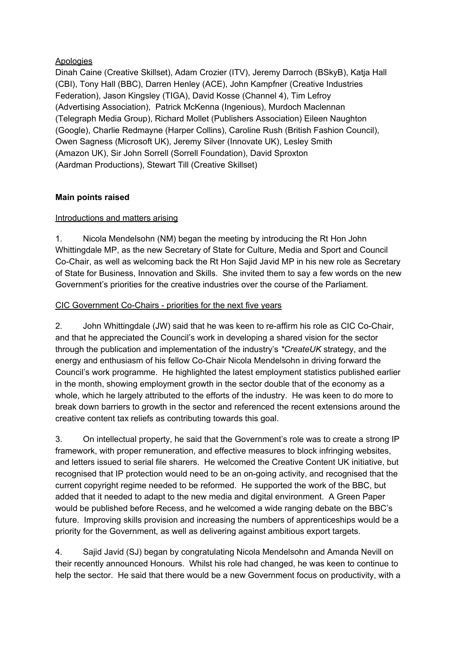### **Apologies**

Dinah Caine (Creative Skillset), Adam Crozier (ITV), Jeremy Darroch (BSkyB), Katja Hall (CBI), Tony Hall (BBC), Darren Henley (ACE), John Kampfner (Creative Industries Federation), Jason Kingsley (TIGA), David Kosse (Channel 4), Tim Lefroy (Advertising Association), Patrick McKenna (Ingenious), Murdoch Maclennan (Telegraph Media Group), Richard Mollet (Publishers Association) Eileen Naughton (Google), Charlie Redmayne (Harper Collins), Caroline Rush (British Fashion Council), Owen Sagness (Microsoft UK), Jeremy Silver (Innovate UK), Lesley Smith (Amazon UK), Sir John Sorrell (Sorrell Foundation), David Sproxton (Aardman Productions), Stewart Till (Creative Skillset)

### **Main points raised**

### Introductions and matters arising

1. Nicola Mendelsohn (NM) began the meeting by introducing the Rt Hon John Whittingdale MP, as the new Secretary of State for Culture, Media and Sport and Council Co-Chair, as well as welcoming back the Rt Hon Sajid Javid MP in his new role as Secretary of State for Business, Innovation and Skills. She invited them to say a few words on the new Government's priorities for the creative industries over the course of the Parliament.

### CIC Government Co-Chairs - priorities for the next five years

2. John Whittingdale (JW) said that he was keen to re-affirm his role as CIC Co-Chair, and that he appreciated the Council's work in developing a shared vision for the sector through the publication and implementation of the industry's *\*CreateUK* strategy, and the energy and enthusiasm of his fellow Co-Chair Nicola Mendelsohn in driving forward the Council's work programme. He highlighted the latest employment statistics published earlier in the month, showing employment growth in the sector double that of the economy as a whole, which he largely attributed to the efforts of the industry. He was keen to do more to break down barriers to growth in the sector and referenced the recent extensions around the creative content tax reliefs as contributing towards this goal.

3. On intellectual property, he said that the Government's role was to create a strong IP framework, with proper remuneration, and effective measures to block infringing websites, and letters issued to serial file sharers. He welcomed the Creative Content UK initiative, but recognised that IP protection would need to be an on-going activity, and recognised that the current copyright regime needed to be reformed. He supported the work of the BBC, but added that it needed to adapt to the new media and digital environment. A Green Paper would be published before Recess, and he welcomed a wide ranging debate on the BBC's future. Improving skills provision and increasing the numbers of apprenticeships would be a priority for the Government, as well as delivering against ambitious export targets.

4. Sajid Javid (SJ) began by congratulating Nicola Mendelsohn and Amanda Nevill on their recently announced Honours. Whilst his role had changed, he was keen to continue to help the sector. He said that there would be a new Government focus on productivity, with a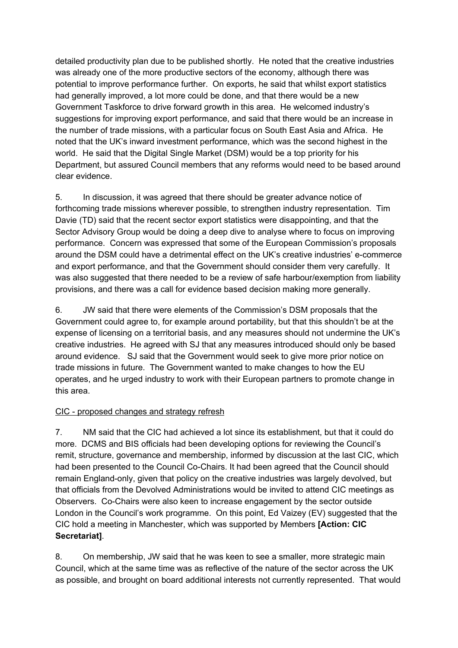detailed productivity plan due to be published shortly. He noted that the creative industries was already one of the more productive sectors of the economy, although there was potential to improve performance further. On exports, he said that whilst export statistics had generally improved, a lot more could be done, and that there would be a new Government Taskforce to drive forward growth in this area. He welcomed industry's suggestions for improving export performance, and said that there would be an increase in the number of trade missions, with a particular focus on South East Asia and Africa. He noted that the UK's inward investment performance, which was the second highest in the world. He said that the Digital Single Market (DSM) would be a top priority for his Department, but assured Council members that any reforms would need to be based around clear evidence.

5. In discussion, it was agreed that there should be greater advance notice of forthcoming trade missions wherever possible, to strengthen industry representation. Tim Davie (TD) said that the recent sector export statistics were disappointing, and that the Sector Advisory Group would be doing a deep dive to analyse where to focus on improving performance. Concern was expressed that some of the European Commission's proposals around the DSM could have a detrimental effect on the UK's creative industries' e-commerce and export performance, and that the Government should consider them very carefully. It was also suggested that there needed to be a review of safe harbour/exemption from liability provisions, and there was a call for evidence based decision making more generally.

6. JW said that there were elements of the Commission's DSM proposals that the Government could agree to, for example around portability, but that this shouldn't be at the expense of licensing on a territorial basis, and any measures should not undermine the UK's creative industries. He agreed with SJ that any measures introduced should only be based around evidence. SJ said that the Government would seek to give more prior notice on trade missions in future. The Government wanted to make changes to how the EU operates, and he urged industry to work with their European partners to promote change in this area.

#### CIC - proposed changes and strategy refresh

7. NM said that the CIC had achieved a lot since its establishment, but that it could do more. DCMS and BIS officials had been developing options for reviewing the Council's remit, structure, governance and membership, informed by discussion at the last CIC, which had been presented to the Council Co-Chairs. It had been agreed that the Council should remain England-only, given that policy on the creative industries was largely devolved, but that officials from the Devolved Administrations would be invited to attend CIC meetings as Observers. Co-Chairs were also keen to increase engagement by the sector outside London in the Council's work programme. On this point, Ed Vaizey (EV) suggested that the CIC hold a meeting in Manchester, which was supported by Members **[Action: CIC Secretariat]**.

8. On membership, JW said that he was keen to see a smaller, more strategic main Council, which at the same time was as reflective of the nature of the sector across the UK as possible, and brought on board additional interests not currently represented. That would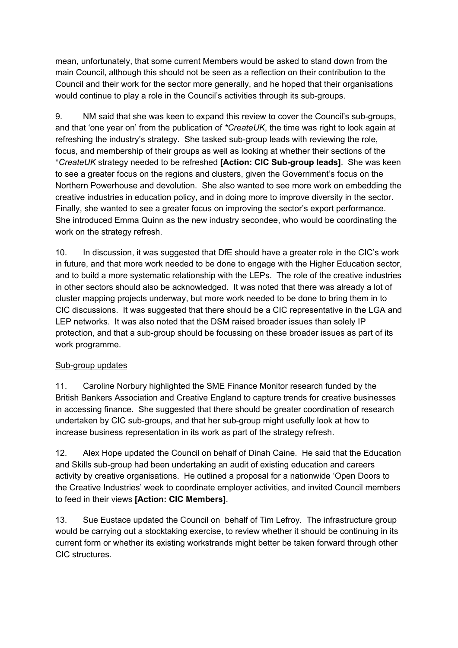mean, unfortunately, that some current Members would be asked to stand down from the main Council, although this should not be seen as a reflection on their contribution to the Council and their work for the sector more generally, and he hoped that their organisations would continue to play a role in the Council's activities through its sub-groups.

9. NM said that she was keen to expand this review to cover the Council's sub-groups, and that 'one year on' from the publication of *\*CreateUK*, the time was right to look again at refreshing the industry's strategy. She tasked sub-group leads with reviewing the role, focus, and membership of their groups as well as looking at whether their sections of the \**CreateUK* strategy needed to be refreshed **[Action: CIC Sub-group leads]**. She was keen to see a greater focus on the regions and clusters, given the Government's focus on the Northern Powerhouse and devolution. She also wanted to see more work on embedding the creative industries in education policy, and in doing more to improve diversity in the sector. Finally, she wanted to see a greater focus on improving the sector's export performance. She introduced Emma Quinn as the new industry secondee, who would be coordinating the work on the strategy refresh.

10. In discussion, it was suggested that DfE should have a greater role in the CIC's work in future, and that more work needed to be done to engage with the Higher Education sector, and to build a more systematic relationship with the LEPs. The role of the creative industries in other sectors should also be acknowledged. It was noted that there was already a lot of cluster mapping projects underway, but more work needed to be done to bring them in to CIC discussions. It was suggested that there should be a CIC representative in the LGA and LEP networks. It was also noted that the DSM raised broader issues than solely IP protection, and that a sub-group should be focussing on these broader issues as part of its work programme.

#### Sub-group updates

11. Caroline Norbury highlighted the SME Finance Monitor research funded by the British Bankers Association and Creative England to capture trends for creative businesses in accessing finance. She suggested that there should be greater coordination of research undertaken by CIC sub-groups, and that her sub-group might usefully look at how to increase business representation in its work as part of the strategy refresh.

12. Alex Hope updated the Council on behalf of Dinah Caine. He said that the Education and Skills sub-group had been undertaking an audit of existing education and careers activity by creative organisations. He outlined a proposal for a nationwide 'Open Doors to the Creative Industries' week to coordinate employer activities, and invited Council members to feed in their views **[Action: CIC Members]**.

13. Sue Eustace updated the Council on behalf of Tim Lefroy. The infrastructure group would be carrying out a stocktaking exercise, to review whether it should be continuing in its current form or whether its existing workstrands might better be taken forward through other CIC structures.